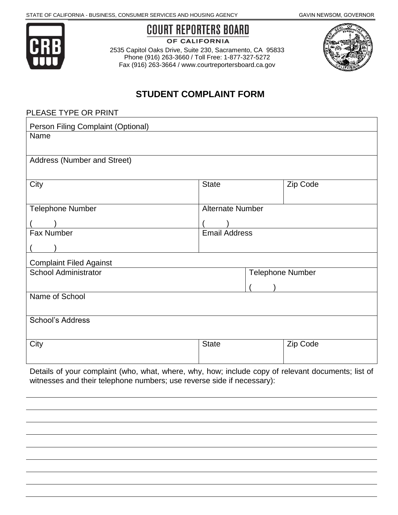

**COURT REPORTERS BOARD** 

OF CALIFORNIA

2535 Capitol Oaks Drive, Suite 230, Sacramento, CA 95833 Phone (916) 263-3660 / Toll Free: 1-877-327-5272 Fax (916) 263-3664 / www.courtreportersboard.ca.gov



# **STUDENT COMPLAINT FORM**

| PLEASE TYPE OR PRINT               |                         |                         |  |
|------------------------------------|-------------------------|-------------------------|--|
| Person Filing Complaint (Optional) |                         |                         |  |
| Name                               |                         |                         |  |
|                                    |                         |                         |  |
| Address (Number and Street)        |                         |                         |  |
|                                    |                         |                         |  |
| City                               | <b>State</b>            | Zip Code                |  |
|                                    |                         |                         |  |
| <b>Telephone Number</b>            | <b>Alternate Number</b> |                         |  |
|                                    |                         |                         |  |
| Fax Number                         | <b>Email Address</b>    |                         |  |
|                                    |                         |                         |  |
| <b>Complaint Filed Against</b>     |                         |                         |  |
| <b>School Administrator</b>        |                         | <b>Telephone Number</b> |  |
|                                    |                         |                         |  |
| Name of School                     |                         |                         |  |
|                                    |                         |                         |  |
| School's Address                   |                         |                         |  |
|                                    |                         |                         |  |
| City                               | <b>State</b>            | Zip Code                |  |
|                                    |                         |                         |  |
|                                    |                         |                         |  |

Details of your complaint (who, what, where, why, how; include copy of relevant documents; list of witnesses and their telephone numbers; use reverse side if necessary):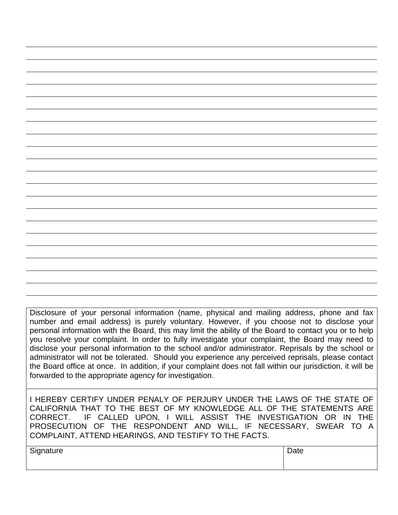Disclosure of your personal information (name, physical and mailing address, phone and fax number and email address) is purely voluntary. However, if you choose not to disclose your personal information with the Board, this may limit the ability of the Board to contact you or to help you resolve your complaint. In order to fully investigate your complaint, the Board may need to disclose your personal information to the school and/or administrator. Reprisals by the school or administrator will not be tolerated. Should you experience any perceived reprisals, please contact the Board office at once. In addition, if your complaint does not fall within our jurisdiction, it will be forwarded to the appropriate agency for investigation.

I HEREBY CERTIFY UNDER PENALY OF PERJURY UNDER THE LAWS OF THE STATE OF CALIFORNIA THAT TO THE BEST OF MY KNOWLEDGE ALL OF THE STATEMENTS ARE CORRECT. IF CALLED UPON, I WILL ASSIST THE INVESTIGATION OR IN THE PROSECUTION OF THE RESPONDENT AND WILL, IF NECESSARY, SWEAR TO A COMPLAINT, ATTEND HEARINGS, AND TESTIFY TO THE FACTS.

| Signature | Date |
|-----------|------|
|           |      |